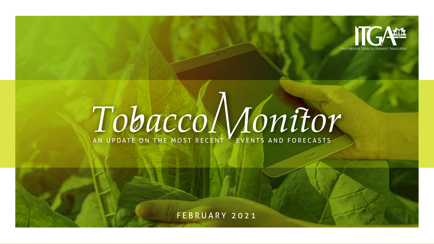

# **TOBACCO MONTON**

FEBRUARY 2021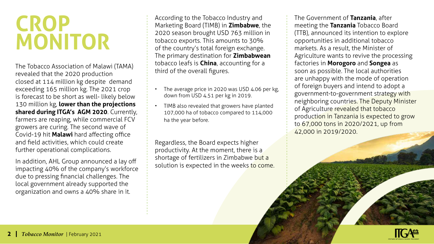## **CROP MONITOR**

The Tobacco Association of Malawi (TAMA) revealed that the 2020 production closed at 114 million kg despite demand exceeding 165 million kg. The 2021 crop is forecast to be short as well- likely below 130 million kg, **lower than the projections shared during ITGA's AGM 2020**. Currently, farmers are reaping, while commercial FCV growers are curing. The second wave of Covid-19 hit **Malawi** hard affecting office and field activities, which could create further operational complications.

In addition, AHL Group announced a lay off impacting 40% of the company's workforce due to pressing financial challenges. The local government already supported the organization and owns a 40% share in it.

According to the Tobacco Industry and Marketing Board (TIMB) in **Zimbabwe**, the 2020 season brought USD 763 million in tobacco exports. This amounts to 30% of the country's total foreign exchange. The primary destination for **Zimbabwean** tobacco leafs is **China**, accounting for a third of the overall figures.

- The average price in 2020 was USD 4.06 per kg, down from USD 4.51 per kg in 2019.
- TIMB also revealed that growers have planted 107,000 ha of tobacco compared to 114,000 ha the year before.

Regardless, the Board expects higher productivity. At the moment, there is a shortage of fertilizers in Zimbabwe but a solution is expected in the weeks to come. The Government of **Tanzania**, after meeting the **Tanzania** Tobacco Board (TTB), announced its intention to explore opportunities in additional tobacco markets. As a result, the Minister of Agriculture wants to revive the processing factories in **Morogoro** and **Songea** as soon as possible. The local authorities are unhappy with the mode of operation of foreign buyers and intend to adopt a government-to-government strategy with neighboring countries. The Deputy Minister of Agriculture revealed that tobacco production in Tanzania is expected to grow to 67,000 tons in 2020/2021, up from 42,000 in 2019/2020.

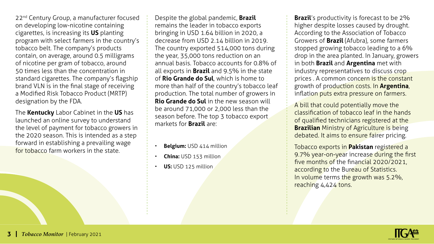22<sup>nd</sup> Century Group, a manufacturer focused on developing low-nicotine containing cigarettes, is increasing its **US** planting program with select farmers in the country's tobacco belt. The company's products contain, on average, around 0.5 milligrams of nicotine per gram of tobacco, around 50 times less than the concentration in standard cigarettes. The company's flagship brand VLN is in the final stage of receiving a Modified Risk Tobacco Product (MRTP) designation by the FDA.

The **Kentucky** Labor Cabinet in the **US** has launched an online survey to understand the level of payment for tobacco growers in the 2020 season. This is intended as a step forward in establishing a prevailing wage for tobacco farm workers in the state.

Despite the global pandemic, **Brazil** remains the leader in tobacco exports bringing in USD 1.64 billion in 2020, a decrease from USD 2.14 billion in 2019. The country exported 514,000 tons during the year, 35,000 tons reduction on an annual basis. Tobacco accounts for 0.8% of all exports in **Brazil** and 9.5% in the state of **Rio Grande do Sul**, which is home to more than half of the country's tobacco leaf production. The total number of growers in **Rio Grande do Sul** in the new season will be around 71,000 or 2,000 less than the season before. The top 3 tobacco export markets for **Brazil** are:

- **Belgium:** USD 414 million
- **China:** USD 153 million
- **US:** USD 125 million

**Brazil**'s productivity is forecast to be 2% higher despite losses caused by drought. According to the Association of Tobacco Growers of **Brazil** (Afubra), some farmers stopped growing tobacco leading to a 6% drop in the area planted. In January, growers in both **Brazil** and **Argentina** met with industry representatives to discuss crop prices . A common concern is the constant growth of production costs. In **Argentina**, inflation puts extra pressure on farmers.

A bill that could potentially move the classification of tobacco leaf in the hands of qualified technicians registered at the **Brazilian** Ministry of Agriculture is being debated. It aims to ensure fairer pricing.

Tobacco exports in **Pakistan** registered a 9.7% year-on-year increase during the first five months of the financial 2020/2021, according to the Bureau of Statistics. In volume terms the growth was 5.2%, reaching 4,424 tons.

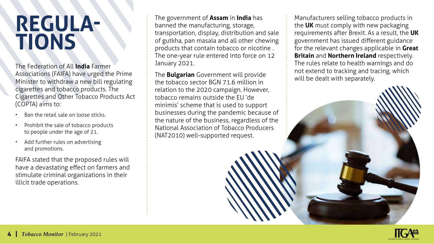#### **REGULA-TIONS**

The Federation of All **India** Farmer Associations (FAIFA) have urged the Prime Minister to withdraw a new bill regulating cigarettes and tobacco products. The Cigarettes and Other Tobacco Products Act (COPTA) aims to:

- Ban the retail sale on loose sticks.
- Prohibit the sale of tobacco products to people under the age of 21.
- Add further rules on advertising and promotions.

FAIFA stated that the proposed rules will have a devastating effect on farmers and stimulate criminal organizations in their illicit trade operations.

The government of **Assam** in **India** has banned the manufacturing, storage, transportation, display, distribution and sale of gutkha, pan masala and all other chewing products that contain tobacco or nicotine . The one-year rule entered into force on 12 January 2021.

The **Bulgarian** Government will provide the tobacco sector BGN 71.6 million in relation to the 2020 campaign. However, tobacco remains outside the EU 'de minimis' scheme that is used to support businesses during the pandemic because of the nature of the business, regardless of the National Association of Tobacco Producers (NAT2010) well-supported request.

Manufacturers selling tobacco products in the **UK** must comply with new packaging requirements after Brexit. As a result, the **UK** government has issued different guidance for the relevant changes applicable in **Great Britain** and **Northern Ireland** respectively. The rules relate to health warnings and do not extend to tracking and tracing, which will be dealt with separately.

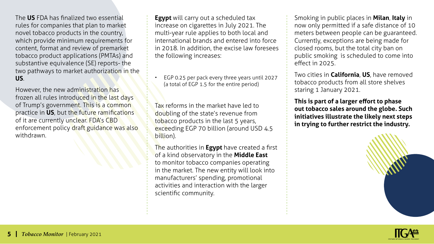The **US** FDA has finalized two essential rules for companies that plan to market novel tobacco products in the country, which provide minimum requirements for content, format and review of premarket tobacco product applications (PMTAs) and substantive equivalence (SE) reports- the two pathways to market authorization in the **US**.

However, the new administration has frozen all rules introduced in the last days of Trump's government. This is a common practice in **US**, but the future ramifications of it are currently unclear. FDA's CBD enforcement policy draft guidance was also withdrawn.

**Egypt** will carry out a scheduled tax increase on cigarettes in July 2021. The multi-year rule applies to both local and international brands and entered into force in 2018. In addition, the excise law foresees the following increases:

• EGP 0.25 per pack every three years until 2027 (a total of EGP 1.5 for the entire period)

Tax reforms in the market have led to doubling of the state's revenue from tobacco products in the last 5 years, exceeding EGP 70 billion (around USD 4.5 billion).

The authorities in **Egypt** have created a first of a kind observatory in the **Middle East** to monitor tobacco companies operating in the market. The new entity will look into manufacturers' spending, promotional activities and interaction with the larger scientific community.

Smoking in public places in **Milan**, **Italy** in now only permitted if a safe distance of 10 meters between people can be guaranteed. Currently, exceptions are being made for closed rooms, but the total city ban on public smoking is scheduled to come into effect in 2025.

Two cities in **California**, **US**, have removed tobacco products from all store shelves staring 1 January 2021.

**This is part of a larger effort to phase out tobacco sales around the globe. Such initiatives illustrate the likely next steps in trying to further restrict the industry.**

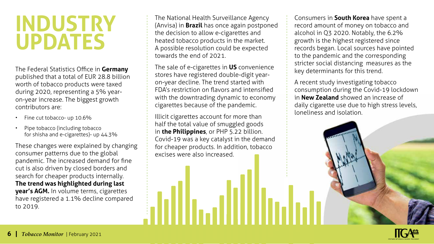## **INDUSTRY UPDATES**

The Federal Statistics Office in **Germany** published that a total of EUR 28.8 billion worth of tobacco products were taxed during 2020, representing a 5% yearon-year increase. The biggest growth contributors are:

- Fine cut tobacco- up 10.6%
- Pipe tobacco (including tobacco for shisha and e-cigarettes)- up 44.3%

These changes were explained by changing consumer patterns due to the global pandemic. The increased demand for fine cut is also driven by closed borders and search for cheaper products internally. **The trend was highlighted during last year's AGM.** In volume terms, cigarettes have registered a 1.1% decline compared to 2019.

The National Health Surveillance Agency (Anvisa) in **Brazil** has once again postponed the decision to allow e-cigarettes and heated tobacco products in the market. A possible resolution could be expected towards the end of 2021.

The sale of e-cigarettes in **US** convenience stores have registered double-digit yearon-year decline. The trend started with FDA's restriction on flavors and intensified with the downtrading dynamic to economy cigarettes because of the pandemic.

Illicit cigarettes account for more than half the total value of smuggled goods in **the Philippines**, or PHP 5.22 billion. Covid-19 was a key catalyst in the demand for cheaper products. In addition, tobacco excises were also increased.

Consumers in **South Korea** have spent a record amount of money on tobacco and alcohol in Q3 2020. Notably, the 6.2% growth is the highest registered since records began. Local sources have pointed to the pandemic and the corresponding stricter social distancing measures as the key determinants for this trend.

A recent study investigating tobacco consumption during the Covid-19 lockdown in **New Zealand** showed an increase of daily cigarette use due to high stress levels, loneliness and isolation.

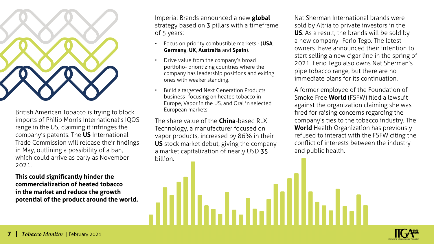

British American Tobacco is trying to block imports of Philip Morris International's IQOS range in the US, claiming it infringes the company's patents. The **US** International Trade Commission will release their findings in May, outlining a possibility of a ban, which could arrive as early as November 2021.

**This could significantly hinder the commercialization of heated tobacco in the market and reduce the growth potential of the product around the world.** Imperial Brands announced a new **global** strategy based on 3 pillars with a timeframe of 5 years:

- Focus on priority combustible markets (**USA**, **Germany**, **UK**, **Australia** and **Spain**).
- Drive value from the company's broad portfolio- prioritizing countries where the company has leadership positions and exiting ones with weaker standing.
- Build a targeted Next Generation Products business- focusing on heated tobacco in Europe, Vapor in the US, and Oral in selected European markets.

The share value of the **China**-based RLX Technology, a manufacturer focused on vapor products, increased by 86% in their **US** stock market debut, giving the company a market capitalization of nearly USD 35 billion.

Marshshall Millerhala

Nat Sherman International brands were sold by Altria to private investors in the **US**. As a result, the brands will be sold by a new company- Ferio Tego. The latest owners have announced their intention to start selling a new cigar line in the spring of 2021. Ferio Tego also owns Nat Sherman's pipe tobacco range, but there are no immediate plans for its continuation.

A former employee of the Foundation of Smoke Free **World** (FSFW) filed a lawsuit against the organization claiming she was fired for raising concerns regarding the company's ties to the tobacco industry. The **World** Health Organization has previously refused to interact with the FSFW citing the conflict of interests between the industry and public health.

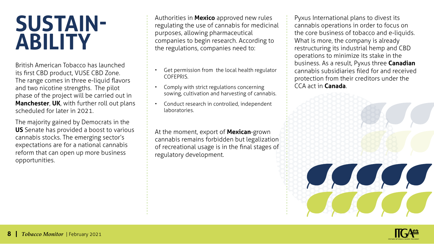#### **SUSTAIN-ABILITY**

British American Tobacco has launched its first CBD product, VUSE CBD Zone. The range comes in three e-liquid flavors and two nicotine strengths. The pilot phase of the project will be carried out in **Manchester**, **UK**, with further roll out plans scheduled for later in 2021.

The majority gained by Democrats in the **US** Senate has provided a boost to various cannabis stocks. The emerging sector's expectations are for a national cannabis reform that can open up more business opportunities.

Authorities in **Mexico** approved new rules regulating the use of cannabis for medicinal purposes, allowing pharmaceutical companies to begin research. According to the regulations, companies need to:

- Get permission from the local health regulator COFEPRIS.
- Comply with strict regulations concerning sowing, cultivation and harvesting of cannabis.
- Conduct research in controlled, independent laboratories.

At the moment, export of **Mexican**-grown cannabis remains forbidden but legalization of recreational usage is in the final stages of regulatory development.

Pyxus International plans to divest its cannabis operations in order to focus on the core business of tobacco and e-liquids. What is more, the company is already restructuring its industrial hemp and CBD operations to minimize its stake in the business. As a result, Pyxus three **Canadian** cannabis subsidiaries filed for and received protection from their creditors under the CCA act in **Canada**.

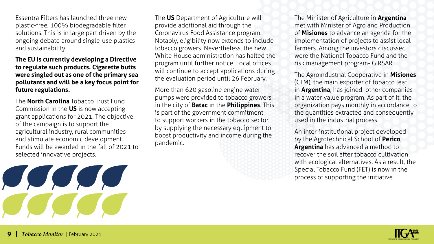Essentra Filters has launched three new plastic-free, 100% biodegradable filter solutions. This is in large part driven by the ongoing debate around single-use plastics and sustainability.

**The EU is currently developing a Directive to regulate such products. Cigarette butts were singled out as one of the primary sea pollutants and will be a key focus point for future regulations.** 

The **North Carolina** Tobacco Trust Fund Commission in the **US** is now accepting grant applications for 2021. The objective of the campaign is to support the agricultural industry, rural communities and stimulate economic development. Funds will be awarded in the fall of 2021 to selected innovative projects.

The **US** Department of Agriculture will provide additional aid through the Coronavirus Food Assistance program. Notably, eligibility now extends to include tobacco growers. Nevertheless, the new White House administration has halted the program until further notice. Local offices will continue to accept applications during the evaluation period until 26 February.

More than 620 gasoline engine water pumps were provided to tobacco growers in the city of **Batac** in the **Philippines**. This is part of the government commitment to support workers in the tobacco sector by supplying the necessary equipment to boost productivity and income during the pandemic.

The Minister of Agriculture in **Argentina** met with Minister of Agro and Production of **Misiones** to advance an agenda for the implementation of projects to assist local farmers. Among the investors discussed were the National Tobacco Fund and the risk management program- GIRSAR.

The Agroindustrial Cooperative in **Misiones** (CTM), the main exporter of tobacco leaf in **Argentina**, has joined other companies in a water value program. As part of it, the organization pays monthly in accordance to the quantities extracted and consequently used in the industrial process.

An inter-institutional project developed by the Agrotechnical School of **Perico**, **Argentina** has advanced a method to recover the soil after tobacco cultivation with ecological alternatives. As a result, the Special Tobacco Fund (FET) is now in the process of supporting the initiative.

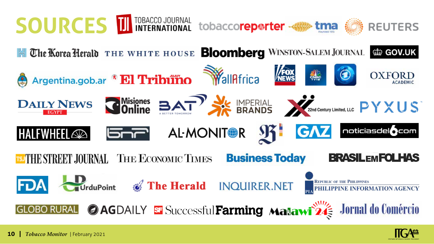